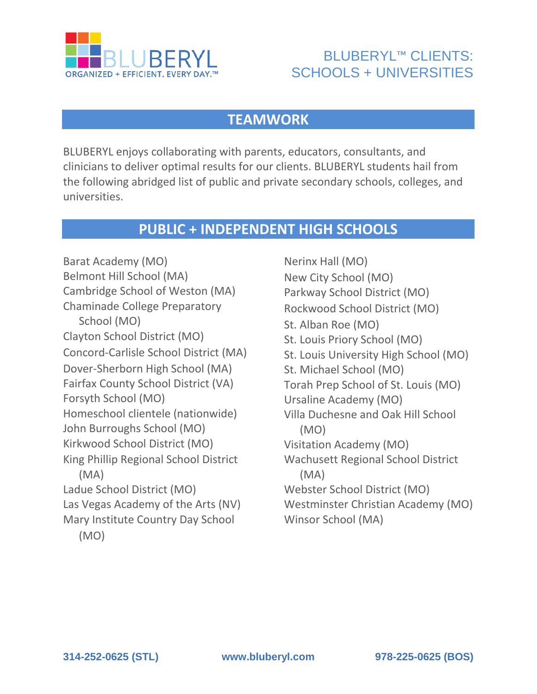

# BLUBERYL™ CLIENTS: SCHOOLS + UNIVERSITIES

### **TEAMWORK**

BLUBERYL enjoys collaborating with parents, educators, consultants, and clinicians to deliver optimal results for our clients. BLUBERYL students hail from the following abridged list of public and private secondary schools, colleges, and universities.

#### **PUBLIC + INDEPENDENT HIGH SCHOOLS**

Barat Academy (MO) Belmont Hill School (MA) Cambridge School of Weston (MA) Chaminade College Preparatory School (MO) Clayton School District (MO) Concord-Carlisle School District (MA) Dover-Sherborn High School (MA) Fairfax County School District (VA) Forsyth School (MO) Homeschool clientele (nationwide) John Burroughs School (MO) Kirkwood School District (MO) King Phillip Regional School District (MA) Ladue School District (MO) Las Vegas Academy of the Arts (NV) Mary Institute Country Day School (MO)

Nerinx Hall (MO) New City School (MO) Parkway School District (MO) Rockwood School District (MO) St. Alban Roe (MO) St. Louis Priory School (MO) St. Louis University High School (MO) St. Michael School (MO) Torah Prep School of St. Louis (MO) Ursaline Academy (MO) Villa Duchesne and Oak Hill School (MO) Visitation Academy (MO) Wachusett Regional School District (MA) Webster School District (MO) Westminster Christian Academy (MO) Winsor School (MA)